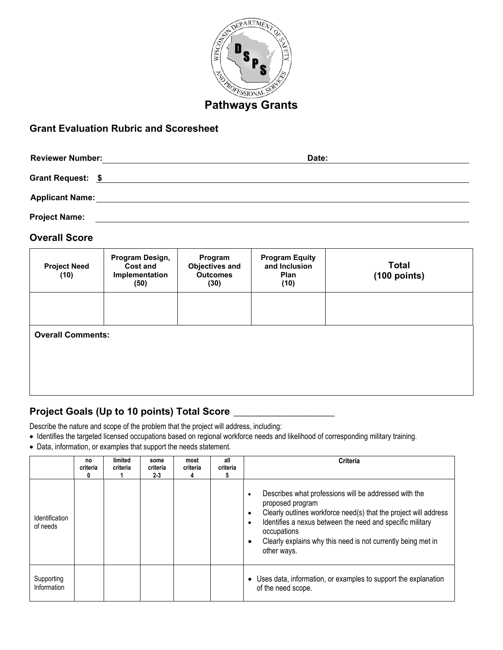

# **Grant Evaluation Rubric and Scoresheet**

| <b>Reviewer Number:</b> | Date: |  |
|-------------------------|-------|--|
| Grant Request: \$       |       |  |
| <b>Applicant Name:</b>  |       |  |
| <b>Project Name:</b>    |       |  |

#### **Overall Score**

| <b>Project Need</b><br>(10) | Program Design,<br><b>Cost and</b><br>Implementation<br>(50) | Program<br><b>Objectives and</b><br><b>Outcomes</b><br>(30) | <b>Program Equity</b><br>and Inclusion<br>Plan<br>(10) | <b>Total</b><br>$(100$ points) |
|-----------------------------|--------------------------------------------------------------|-------------------------------------------------------------|--------------------------------------------------------|--------------------------------|
|                             |                                                              |                                                             |                                                        |                                |
| <b>Overall Comments:</b>    |                                                              |                                                             |                                                        |                                |
|                             |                                                              |                                                             |                                                        |                                |
|                             |                                                              |                                                             |                                                        |                                |

### **Project Goals (Up to 10 points) Total Score** \_\_\_\_\_\_\_\_\_\_\_\_\_\_\_\_\_\_\_\_\_\_

Describe the nature and scope of the problem that the project will address, including:

- Identifies the targeted licensed occupations based on regional workforce needs and likelihood of corresponding military training.
- Data, information, or examples that support the needs statement.

|                            | no<br>criteria<br>0 | limited<br>criteria | some<br>criteria<br>$2-3$ | most<br>criteria<br>4 | all<br>criteria | <b>Criteria</b>                                                                                                                                                                                                                                                                                                                                 |
|----------------------------|---------------------|---------------------|---------------------------|-----------------------|-----------------|-------------------------------------------------------------------------------------------------------------------------------------------------------------------------------------------------------------------------------------------------------------------------------------------------------------------------------------------------|
| Identification<br>of needs |                     |                     |                           |                       |                 | Describes what professions will be addressed with the<br>$\bullet$<br>proposed program<br>Clearly outlines workforce need(s) that the project will address<br>$\bullet$<br>Identifies a nexus between the need and specific military<br>$\bullet$<br>occupations<br>Clearly explains why this need is not currently being met in<br>other ways. |
| Supporting<br>Information  |                     |                     |                           |                       |                 | Uses data, information, or examples to support the explanation<br>of the need scope.                                                                                                                                                                                                                                                            |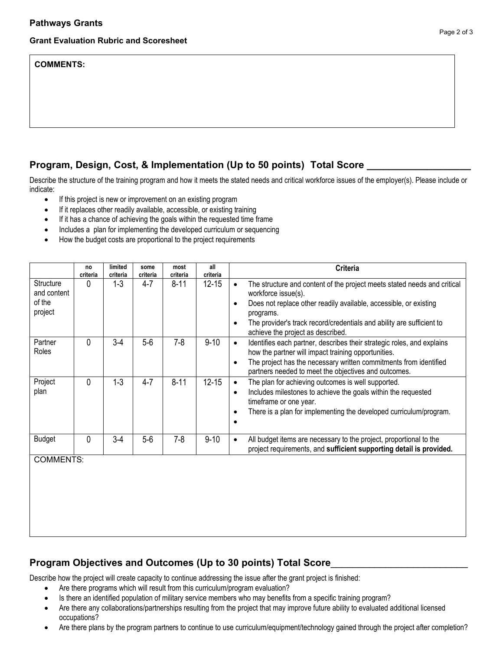#### **Grant Evaluation Rubric and Scoresheet**

#### **COMMENTS:**

### **Program, Design, Cost, & Implementation (Up to 50 points) Total Score \_\_\_\_\_\_\_\_\_\_\_\_\_\_\_\_\_\_\_**

Describe the structure of the training program and how it meets the stated needs and critical workforce issues of the employer(s). Please include or indicate:

- If this project is new or improvement on an existing program
- If it replaces other readily available, accessible, or existing training
- If it has a chance of achieving the goals within the requested time frame
- Includes a plan for implementing the developed curriculum or sequencing
- How the budget costs are proportional to the project requirements

|                                               | no<br>criteria | limited<br>criteria | some<br>criteria | most<br>criteria | all<br>criteria | <b>Criteria</b>                                                                                                                                                                                                                                                                                                           |
|-----------------------------------------------|----------------|---------------------|------------------|------------------|-----------------|---------------------------------------------------------------------------------------------------------------------------------------------------------------------------------------------------------------------------------------------------------------------------------------------------------------------------|
| Structure<br>and content<br>of the<br>project | 0              | $1 - 3$             | 4-7              | $8 - 11$         | $12 - 15$       | The structure and content of the project meets stated needs and critical<br>$\bullet$<br>workforce issue(s).<br>Does not replace other readily available, accessible, or existing<br>programs.<br>The provider's track record/credentials and ability are sufficient to<br>$\bullet$<br>achieve the project as described. |
| Partner<br>Roles                              | N              | $3-4$               | $5-6$            | $7 - 8$          | $9 - 10$        | Identifies each partner, describes their strategic roles, and explains<br>$\bullet$<br>how the partner will impact training opportunities.<br>The project has the necessary written commitments from identified<br>partners needed to meet the objectives and outcomes.                                                   |
| Project<br>plan                               | O              | $1 - 3$             | $4 - 7$          | $8 - 11$         | $12 - 15$       | The plan for achieving outcomes is well supported.<br>$\bullet$<br>Includes milestones to achieve the goals within the requested<br>$\bullet$<br>timeframe or one year.<br>There is a plan for implementing the developed curriculum/program.                                                                             |
| <b>Budget</b>                                 | N              | $3-4$               | $5-6$            | $7 - 8$          | $9 - 10$        | All budget items are necessary to the project, proportional to the<br>project requirements, and sufficient supporting detail is provided.                                                                                                                                                                                 |
| <b>COMMENTS:</b>                              |                |                     |                  |                  |                 |                                                                                                                                                                                                                                                                                                                           |

### **Program Objectives and Outcomes (Up to 30 points) Total Score**\_\_\_\_\_\_\_\_\_\_\_\_\_\_\_\_\_\_\_\_\_\_\_\_\_

Describe how the project will create capacity to continue addressing the issue after the grant project is finished:

- Are there programs which will result from this curriculum/program evaluation?
- Is there an identified population of military service members who may benefits from a specific training program?
- Are there any collaborations/partnerships resulting from the project that may improve future ability to evaluated additional licensed occupations?
- Are there plans by the program partners to continue to use curriculum/equipment/technology gained through the project after completion?